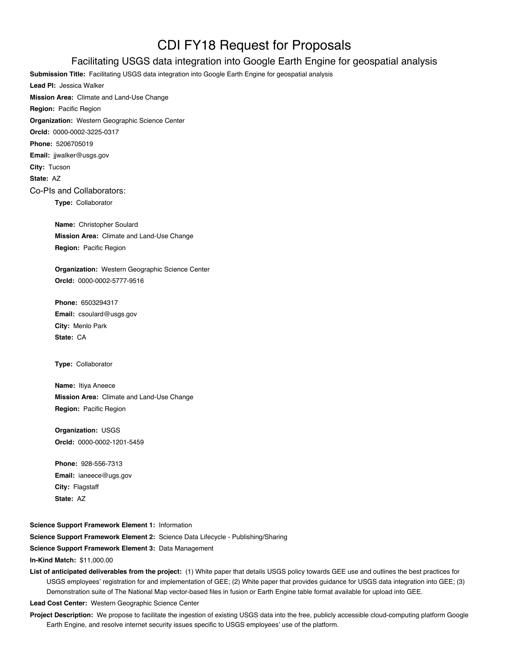## CDI FY18 Request for Proposals

## Facilitating USGS data integration into Google Earth Engine for geospatial analysis

**Submission Title:** Facilitating USGS data integration into Google Earth Engine for geospatial analysis **Lead PI:** Jessica Walker **Mission Area:** Climate and Land-Use Change **Region:** Pacific Region **Organization:** Western Geographic Science Center **OrcId:** 0000-0002-3225-0317 **Phone:** 5206705019 **Email:** jjwalker@usgs.gov **City:** Tucson **State:** AZ Co-PIs and Collaborators: **Type:** Collaborator **Name:** Christopher Soulard

**Mission Area:** Climate and Land-Use Change **Region:** Pacific Region

**Organization:** Western Geographic Science Center **OrcId:** 0000-0002-5777-9516

**Phone:** 6503294317 **Email:** csoulard@usgs.gov **City:** Menlo Park **State:** CA

**Type:** Collaborator

**Name:** Itiya Aneece **Mission Area:** Climate and Land-Use Change **Region:** Pacific Region

**Organization:** USGS **OrcId:** 0000-0002-1201-5459

**Phone:** 928-556-7313 **Email:** ianeece@ugs.gov **City:** Flagstaff **State:** AZ

**Science Support Framework Element 1:** Information **Science Support Framework Element 2:** Science Data Lifecycle - Publishing/Sharing

**Science Support Framework Element 3:** Data Management

**In-Kind Match:** \$11,000.00

**List of anticipated deliverables from the project:** (1) White paper that details USGS policy towards GEE use and outlines the best practices for USGS employees' registration for and implementation of GEE; (2) White paper that provides guidance for USGS data integration into GEE; (3) Demonstration suite of The National Map vector-based files in fusion or Earth Engine table format available for upload into GEE.

**Lead Cost Center:** Western Geographic Science Center

Project Description: We propose to facilitate the ingestion of existing USGS data into the free, publicly accessible cloud-computing platform Google Earth Engine, and resolve internet security issues specific to USGS employees' use of the platform.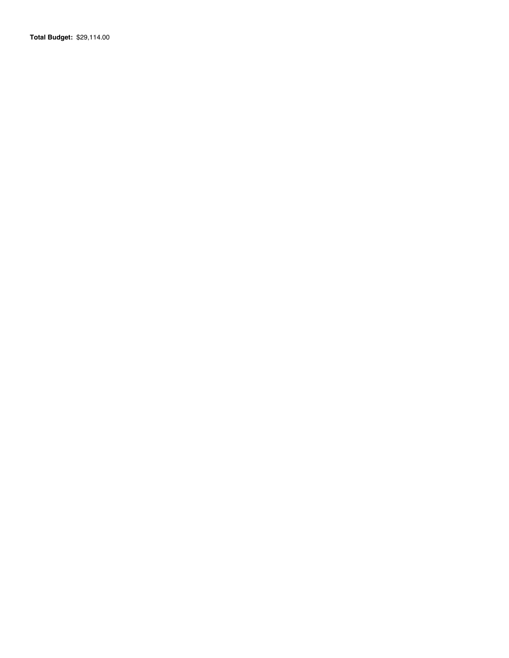**Total Budget:** \$29,114.00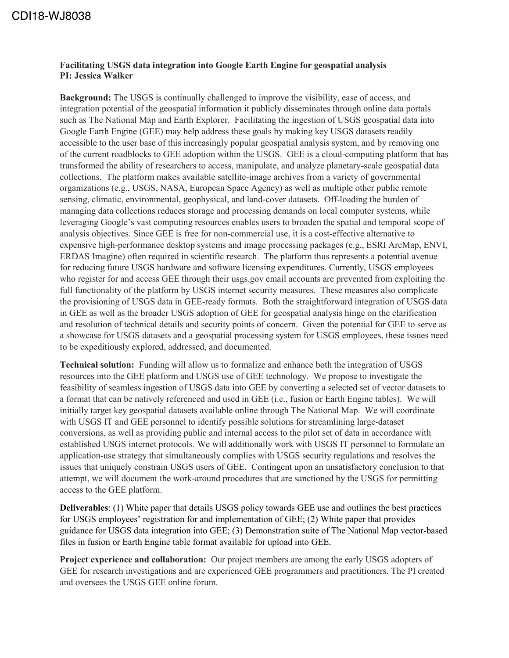## **Facilitating USGS data integration into Google Earth Engine for geospatial analysis PI: Jessica Walker**

**Background:** The USGS is continually challenged to improve the visibility, ease of access, and integration potential of the geospatial information it publicly disseminates through online data portals such as The National Map and Earth Explorer. Facilitating the ingestion of USGS geospatial data into Google Earth Engine (GEE) may help address these goals by making key USGS datasets readily accessible to the user base of this increasingly popular geospatial analysis system, and by removing one of the current roadblocks to GEE adoption within the USGS. GEE is a cloud-computing platform that has transformed the ability of researchers to access, manipulate, and analyze planetary-scale geospatial data collections. The platform makes available satellite-image archives from a variety of governmental organizations (e.g., USGS, NASA, European Space Agency) as well as multiple other public remote sensing, climatic, environmental, geophysical, and land-cover datasets. Off-loading the burden of managing data collections reduces storage and processing demands on local computer systems, while leveraging Google's vast computing resources enables users to broaden the spatial and temporal scope of analysis objectives. Since GEE is free for non-commercial use, it is a cost-effective alternative to expensive high-performance desktop systems and image processing packages (e.g., ESRI ArcMap, ENVI, ERDAS Imagine) often required in scientific research. The platform thus represents a potential avenue for reducing future USGS hardware and software licensing expenditures. Currently, USGS employees who register for and access GEE through their usgs.gov email accounts are prevented from exploiting the full functionality of the platform by USGS internet security measures. These measures also complicate the provisioning of USGS data in GEE-ready formats. Both the straightforward integration of USGS data in GEE as well as the broader USGS adoption of GEE for geospatial analysis hinge on the clarification and resolution of technical details and security points of concern. Given the potential for GEE to serve as a showcase for USGS datasets and a geospatial processing system for USGS employees, these issues need to be expeditiously explored, addressed, and documented.

**Technical solution:** Funding will allow us to formalize and enhance both the integration of USGS resources into the GEE platform and USGS use of GEE technology. We propose to investigate the feasibility of seamless ingestion of USGS data into GEE by converting a selected set of vector datasets to a format that can be natively referenced and used in GEE (i.e., fusion or Earth Engine tables). We will initially target key geospatial datasets available online through The National Map. We will coordinate with USGS IT and GEE personnel to identify possible solutions for streamlining large-dataset conversions, as well as providing public and internal access to the pilot set of data in accordance with established USGS internet protocols. We will additionally work with USGS IT personnel to formulate an application-use strategy that simultaneously complies with USGS security regulations and resolves the issues that uniquely constrain USGS users of GEE. Contingent upon an unsatisfactory conclusion to that attempt, we will document the work-around procedures that are sanctioned by the USGS for permitting access to the GEE platform.

**Deliverables**: (1) White paper that details USGS policy towards GEE use and outlines the best practices for USGS employees' registration for and implementation of GEE; (2) White paper that provides guidance for USGS data integration into GEE; (3) Demonstration suite of The National Map vector-based files in fusion or Earth Engine table format available for upload into GEE.

**Project experience and collaboration:** Our project members are among the early USGS adopters of GEE for research investigations and are experienced GEE programmers and practitioners. The PI created and oversees the USGS GEE online forum.